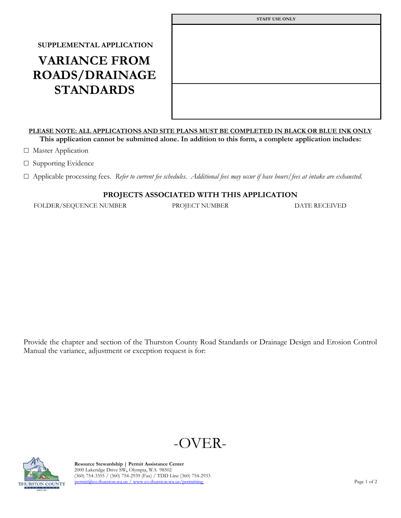## **SUPPLEMENTAL APPLICATION VARIANCE FROM ROADS/DRAINAGE STANDARDS**

| <b>STAFF USE ONLY</b> |
|-----------------------|
|                       |
|                       |
|                       |
|                       |
|                       |
|                       |
|                       |
|                       |

## **PLEASE NOTE: ALL APPLICATIONS AND SITE PLANS MUST BE COMPLETED IN BLACK OR BLUE INK ONLY This application cannot be submitted alone. In addition to this form, a complete application includes:**

□ Master Application

□ Supporting Evidence

☐ Applicable processing fees. *Refer to current fee schedules. Additional fees may occur if base hours/fees at intake are exhausted.*

## **PROJECTS ASSOCIATED WITH THIS APPLICATION**

FOLDER/SEQUENCE NUMBER PROJECT NUMBER DATE RECEIVED

Provide the chapter and section of the Thurston County Road Standards or Drainage Design and Erosion Control Manual the variance, adjustment or exception request is for:





 **Resource Stewardship | Permit Assistance Center** 2000 Lakeridge Drive SW**,** Olympia, WA 98502 (360) 754-3355 / (360) 754-2939 (Fax) / TDD Line (360) 754-2933 THURSTON COUNTY permit(@co.thurston.wa.us [/ www.co.thurston.wa.us/permitting](http://www.co.thurston.wa.us/permitting) Page 1 of 2